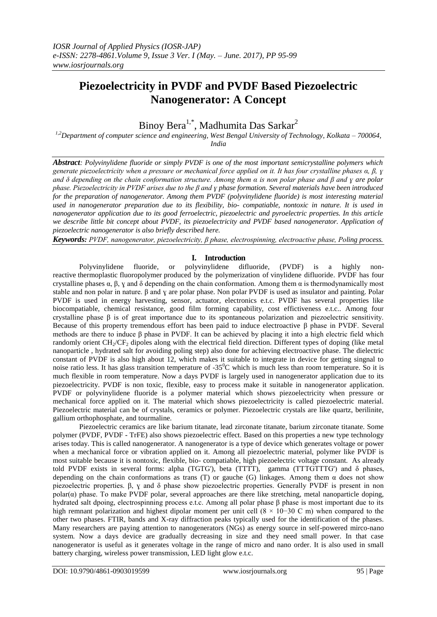# **Piezoelectricity in PVDF and PVDF Based Piezoelectric Nanogenerator: A Concept**

Binoy Bera<sup>1,\*</sup>, Madhumita Das Sarkar<sup>2</sup>

*1,2Department of computer science and engineering, West Bengal University of Technology, Kolkata – 700064, India*

*Abstract: Polyvinylidene fluoride or simply PVDF is one of the most important semicrystalline polymers which generate piezoelectricity when a pressure or mechanical force applied on it. It has four crystalline phases α, β, ɣ and δ depending on the chain conformation structure. Among them α is non polar phase and β and ɣ are polar phase. Piezoelectricity in PVDF arises due to the β and ɣ phase formation. Several materials have been introduced for the preparation of nanogenerator. Among them PVDF (polyvinylidene fluoride) is most interesting material used in nanogenerator preparation due to its flexibility, bio- compatiable, nontoxic in nature. It is used in nanogenerator application due to its good ferroelectric, piezoelectric and pyroelectric properties. In this article we describe little bit concept about PVDF, its piezoelectricity and PVDF based nanogenerator. Application of piezoelectric nanogenerator is also briefly described here.*

*Keywords: PVDF, nanogenerator, piezoelectricity, β phase, electrospinning, electroactive phase, Poling process.*

#### **I. Introduction**

Polyvinylidene fluoride, or polyvinylidene difluoride, (PVDF) is a highly nonreactive [thermoplastic](https://en.wikipedia.org/wiki/Thermoplastic) [fluoropolymer](https://en.wikipedia.org/wiki/Fluoropolymer) produced by the polymerization of [vinylidene difluoride.](https://en.wikipedia.org/wiki/1,1-Difluoroethylene) PVDF has four crystalline phases α, β, ɣ and δ depending on the chain conformation. Among them α is thermodynamically most stable and non polar in nature. β and ɣ are polar phase. Non polar PVDF is used as insulator and painting. Polar PVDF is used in energy harvesting, sensor, actuator, electronics e.t.c. PVDF has several properties like biocompatiable, chemical resistance, good film forming capability, cost effictiveness e.t.c.. Among four crystalline phase β is of great importance due to its spontaneous polarization and piezoelectric sensitivity. Because of this property tremendous effort has been paid to induce electroactive β phase in PVDF. Several methods are there to induce β phase in PVDF. It can be achieved by placing it into a high electric field which randomly orient CH<sub>2</sub>/CF<sub>2</sub> dipoles along with the electrical field direction. Different types of doping (like metal nanoparticle , hydrated salt for avoiding poling step) also done for achieving electroactive phase. The dielectric constant of PVDF is also high about 12, which makes it suitable to integrate in device for getting singnal to noise ratio less. It has glass transition temperature of  $-35^{\circ}$ C which is much less than room temperature. So it is much flexible in room temperature. Now a days PVDF is largely used in nanogenerator application due to its piezoelectricity. PVDF is non toxic, flexible, easy to process make it suitable in nanogenerator application. PVDF or polyvinylidene fluoride is a polymer material which shows piezoelectricity when pressure or mechanical force applied on it. The material which shows piezoelectricity is called piezoelectric material. Piezoelectric material can be of crystals, ceramics or polymer. Piezoelectric crystals are like quartz, berilinite, gallium orthophosphate, and tourmaline.

Piezoelectric ceramics are like barium titanate, lead zirconate titanate, barium zirconate titanate. Some polymer (PVDF, PVDF - TrFE) also shows piezoelectric effect. Based on this properties a new type technology arises today. This is called nanogenerator. A nanogenerator is a type of device which generates voltage or power when a mechanical force or vibration applied on it. Among all piezoelectric material, polymer like PVDF is most suitable because it is nontoxic, flexible, bio- compatiable, high piezoelectric voltage constant. As already told PVDF exists in several forms: alpha (TGTG'), beta (TTTT), gamma (TTTGTTTG') and  $\delta$  phases, depending on the chain conformations as trans (T) or gauche (G) linkages. Among them  $\alpha$  does not show piezoelectric properties. β, ɣ and δ phase show piezoelectric properties. Generally PVDF is present in non polar( $\alpha$ ) phase. To make PVDF polar, several approaches are there like stretching, metal nanoparticle doping, hydrated salt dpoing, electrospinning process e.t.c. Among all polar phase β phase is most important due to its high remnant polarization and highest dipolar moment per unit cell (8 × 10−30 C m) when compared to the other two phases. FTIR, bands and X-ray diffraction peaks typically used for the identification of the phases. Many researchers are paying attention to nanogenerators (NGs) as energy source in self-powered mirco-nano system. Now a days device are gradually decreasing in size and they need small power. In that case nanogenerator is useful as it generates voltage in the range of micro and nano order. It is also used in small battery charging, wireless power transmission, LED light glow e.t.c.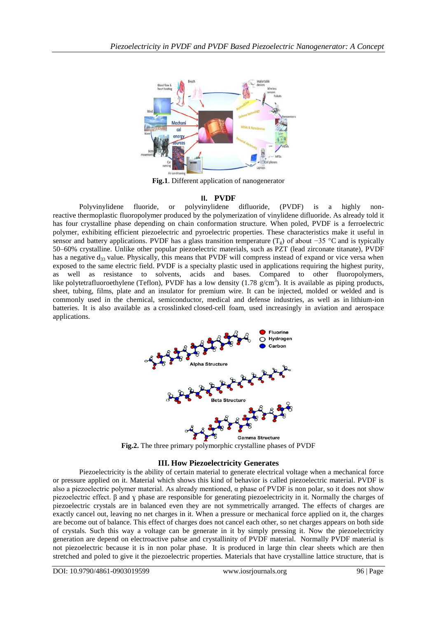

**Fig.1**. Different application of nanogenerator

# **II. PVDF**

Polyvinylidene fluoride, or polyvinylidene difluoride, (PVDF) is a highly nonreactive [thermoplastic](https://en.wikipedia.org/wiki/Thermoplastic) [fluoropolymer](https://en.wikipedia.org/wiki/Fluoropolymer) produced by the polymerization of [vinylidene difluoride.](https://en.wikipedia.org/wiki/1,1-Difluoroethylene) As already told it has four crystalline phase depending on chain conformation structure. When poled, PVDF is a ferroelectric polymer, exhibiting efficient piezoelectric and pyroelectric properties. These characteristics make it useful in sensor and battery applications. PVDF has a [glass transition temperature](https://en.wikipedia.org/wiki/Glass_transition_temperature) (T<sub>g</sub>) of about −35 [°C](https://en.wikipedia.org/wiki/Celsius) and is typically 50–60% crystalline. Unlike other popular piezoelectric materials, such as [PZT](https://en.wikipedia.org/wiki/PZT) (lead zirconate titanate), PVDF has a negative  $d_{33}$  $d_{33}$  value. Physically, this means that PVDF will compress instead of expand or vice versa when exposed to the same electric field. PVDF is a specialty plastic used in applications requiring the highest purity, as well as resistance to solvents, acids and bases. Compared to other fluoropolymers, like [polytetrafluoroethylene](https://en.wikipedia.org/wiki/Polytetrafluoroethylene) (Teflon), PVDF has a low density  $(1.78 \text{ g/cm}^3)$ . It is available as piping products, sheet, tubing, films, plate and an insulator for premium wire. It can be injected, molded or welded and is commonly used in the chemical, semiconductor, medical and defense industries, as well as in [lithium-ion](https://en.wikipedia.org/wiki/Lithium-ion_battery)  [batteries.](https://en.wikipedia.org/wiki/Lithium-ion_battery) It is also available as a [crosslinked](https://en.wikipedia.org/wiki/Cross-link) [closed-cell foam,](https://en.wikipedia.org/wiki/Closed-cell_foam) used increasingly in aviation and aerospace applications.



**Fig.2.** The three primary polymorphic crystalline phases of PVDF

## **III. How Piezoelectricity Generates**

Piezoelectricity is the ability of certain material to generate electrical voltage when a mechanical force or pressure applied on it. Material which shows this kind of behavior is called piezoelectric material. PVDF is also a piezoelectric polymer material. As already mentioned,  $\alpha$  phase of PVDF is non polar, so it does not show piezoelectric effect. β and ɣ phase are responsible for generating piezoelectricity in it. Normally the charges of piezoelectric crystals are in balanced even they are not symmetrically arranged. The effects of charges are exactly cancel out, leaving no net charges in it. When a pressure or mechanical force applied on it, the charges are become out of balance. This effect of charges does not cancel each other, so net charges appears on both side of crystals. Such this way a voltage can be generate in it by simply pressing it. Now the piezoelectricity generation are depend on electroactive pahse and crystallinity of PVDF material. Normally PVDF material is not piezoelectric because it is in non polar phase. It is produced in large thin clear sheets which are then stretched and poled to give it the piezoelectric properties. Materials that have crystalline lattice structure, that is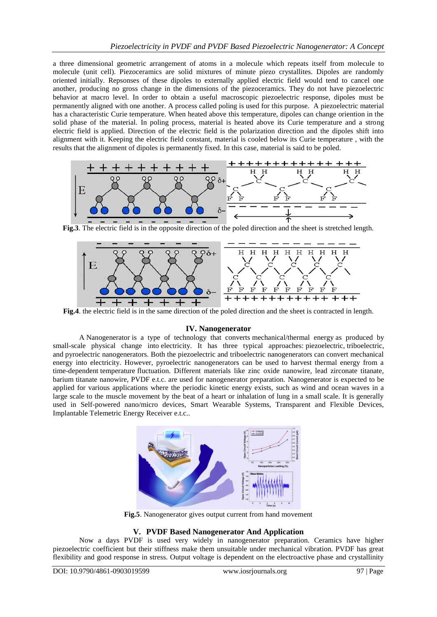a three dimensional geometric arrangement of atoms in a molecule which repeats itself from molecule to molecule (unit cell). Piezoceramics are solid mixtures of minute piezo crystallites. Dipoles are randomly oriented initially. Repsonses of these dipoles to externally applied electric field would tend to cancel one another, producing no gross change in the dimensions of the piezoceramics. They do not have piezoelectric behavior at macro level. In order to obtain a useful macroscopic piezoelectric response, dipoles must be permanently aligned with one another. A process called poling is used for this purpose. A piezoelectric material has a characteristic Curie temperature. When heated above this temperature, dipoles can change oriention in the solid phase of the material. In poling process, material is heated above its Curie temperature and a strong electric field is applied. Direction of the electric field is the polarization direction and the dipoles shift into alignment with it. Keeping the electric field constant, material is cooled below its Curie temperature , with the results that the alignment of dipoles is permanently fixed. In this case, material is said to be poled.



**Fig.3**. The electric field is in the opposite direction of the poled direction and the sheet is stretched length.



**Fig.4**. the electric field is in the same direction of the poled direction and the sheet is contracted in length.

## **IV. Nanogenerator**

A Nanogenerator is a type of technology that converts [mechanical/](https://en.wikipedia.org/wiki/Mechanical_energy)[thermal energy](https://en.wikipedia.org/wiki/Thermal_energy) as produced by small-scale physical change into [electricity.](https://en.wikipedia.org/wiki/Electricity) It has three typical approaches: [piezoelectric,](https://en.wikipedia.org/wiki/Piezoelectric) [triboelectric,](https://en.wikipedia.org/wiki/Triboelectric) and [pyroelectric](https://en.wikipedia.org/wiki/Pyroelectric) nanogenerators. Both the piezoelectric and triboelectric nanogenerators can convert mechanical energy into electricity. However, pyroelectric nanogenerators can be used to harvest thermal energy from a time-dependent [temperature](https://en.wikipedia.org/wiki/Temperature) [fluctuation.](https://en.wikipedia.org/wiki/Thermal_fluctuations) Different materials like zinc oxide nanowire, lead zirconate titanate, barium titanate nanowire, PVDF e.t.c. are used for nanogenerator preparation. Nanogenerator is expected to be applied for various applications where the periodic kinetic energy exists, such as wind and ocean waves in a large scale to the muscle movement by the beat of a heart or inhalation of lung in a small scale. It is generally used in Self-powered nano/micro devices, Smart Wearable Systems, Transparent and Flexible Devices, Implantable Telemetric Energy Receiver e.t.c..



**Fig.5**. Nanogenerator gives output current from hand movement

# **V. PVDF Based Nanogenerator And Application**

Now a days PVDF is used very widely in nanogenerator preparation. Ceramics have higher piezoelectric coefficient but their stiffness make them unsuitable under mechanical vibration. PVDF has great flexibility and good response in stress. Output voltage is dependent on the electroactive phase and crystallinity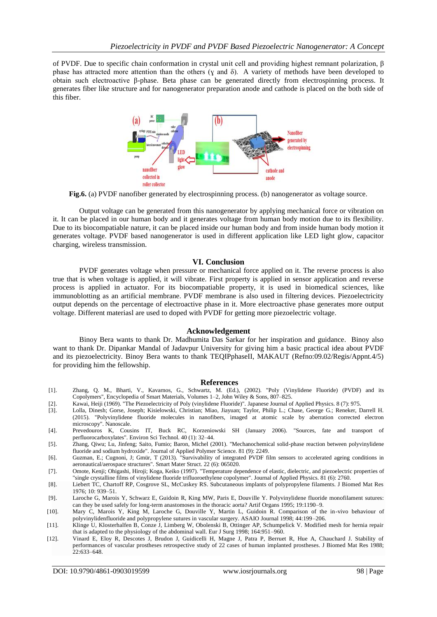of PVDF. Due to specific chain conformation in crystal unit cell and providing highest remnant polarization, β phase has attracted more attention than the others ( $\gamma$  and  $\delta$ ). A variety of methods have been developed to obtain such electroactive β-phase. Beta phase can be generated directly from electrospinning process. It generates fiber like structure and for nanogenerator preparation anode and cathode is placed on the both side of this fiber.



**Fig.6.** (a) PVDF nanofiber generated by electrospinning process. (b) nanogenerator as voltage source.

Output voltage can be generated from this nanogenerator by applying mechanical force or vibration on it. It can be placed in our human body and it generates voltage from human body motion due to its flexibility. Due to its biocompatiable nature, it can be placed inside our human body and from inside human body motion it generates voltage. PVDF based nanogenerator is used in different application like LED light glow, capacitor charging, wireless transmission.

#### **VI. Conclusion**

PVDF generates voltage when pressure or mechanical force applied on it. The reverse process is also true that is when voltage is applied, it will vibrate. First property is applied in sensor application and reverse process is applied in actuator. For its biocompatiable property, it is used in biomedical sciences, like immunoblotting as an artificial membrane. PVDF membrane is also used in filtering devices. Piezoelectricity output depends on the percentage of electroactive phase in it. More electroactive phase generates more output voltage. Different materiasl are used to doped with PVDF for getting more piezoelectric voltage.

#### **Acknowledgement**

Binoy Bera wants to thank Dr. Madhumita Das Sarkar for her inspiration and guidance. Binoy also want to thank Dr. Dipankar Mandal of Jadavpur University for giving him a basic practical idea about PVDF and its piezoelectricity. Binoy Bera wants to thank TEQIPphaseII, MAKAUT (Refno:09.02/Regis/Appnt.4/5) for providing him the fellowship.

#### **References**

- [1]. Zhang, Q. M., Bharti, V., Kavarnos, G., Schwartz, M. (Ed.), (2002). "Poly (Vinylidene Fluoride) (PVDF) and its Copolymers", Encyclopedia of Smart Materials, Volumes 1–2, John Wiley & Sons, 807–825.
- [2]. Kawai, Heiji (1969). "The Piezoelectricity of Poly (vinylidene Fluoride)". Japanese Journal of Applied Physics. 8 (7): 975.
- [3]. Lolla, Dinesh; Gorse, Joseph; Kisielowski, Christian; Miao, Jiayuan; Taylor, Philip L.; Chase, George G.; Reneker, Darrell H. (2015). "Polyvinylidene fluoride molecules in nanofibers, imaged at atomic scale by aberration corrected electron microscopy". Nanoscale.
- [4]. Prevedouros K, Cousins IT, Buck RC, Korzeniowski SH (January 2006). "Sources, fate and transport of perfluorocarboxylates". Environ Sci Technol. 40 (1): 32–44.
- [5]. Zhang, Qiwu; Lu, Jinfeng; Saito, Fumio; Baron, Michel (2001). "Mechanochemical solid-phase reaction between polyvinylidene fluoride and sodium hydroxide". Journal of Applied Polymer Science. 81 (9): 2249.
- [6]. Guzman, E.; Cugnoni, J; Gmür, T (2013). "Survivability of integrated PVDF film sensors to accelerated ageing conditions in aeronautical/aerospace structures". Smart Mater Struct. 22 (6): 065020.
- [7]. Omote, Kenji; Ohigashi, Hiroji; Koga, Keiko (1997). "Temperature dependence of elastic, dielectric, and piezoelectric properties of "single crystalline films of vinylidene fluoride trifluoroethylene copolymer". Journal of Applied Physics. 81 (6): 2760.
- [8]. Liebert TC, Chartoff RP, Cosgrove SL, McCuskey RS. Subcutaneous implants of polypropylene filaments. J Biomed Mat Res 1976; 10: 939–51.
- [9]. Laroche G, Marois Y, Schwarz E, Guidoin R, King MW, Paris E, Douville Y. Polyvinylidene fluoride monofilament sutures: can they be used safely for long-term anastomoses in the thoracic aorta? Artif Organs 1995; 19:1190–9.
- [10]. Mary C, Marois Y, King M, Laroche G, Douville Y, Martin L, Guidoin R. Comparison of the in-vivo behaviour of polyvinylidenfluoride and polypropylene sutures in vascular surgery. ASAIO Journal 1998; 44:199–206.
- [11]. Klinge U, Klosterhalfen B, Conze J, Limberg W, Obolenski B, Ottinger AP, Schumpelick V. Modified mesh for hernia repair that is adapted to the physiology of the abdominal wall. Eur J Surg 1998; 164:951–960.
- [12]. Vinard E, Eloy R, Descotes J, Brudon J, Guidicelli H, Magne J, Patra P, Berruet R, Hue A, Chauchard J. Stability of performances of vascular prostheses retrospective study of 22 cases of human implanted prostheses. J Biomed Mat Res 1988;  $22.633 - 648$